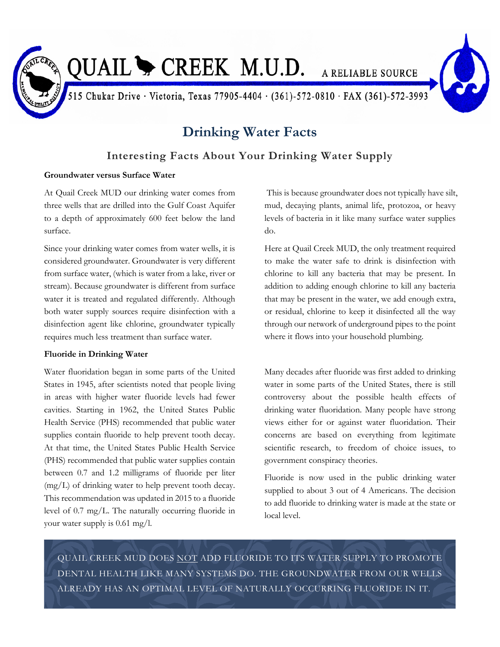

# QUAIL CREEK M.U.D. A RELIABLE SOURCE

515 Chukar Drive · Victoria, Texas 77905-4404 · (361)-572-0810 · FAX (361)-572-3993

## **Drinking Water Facts**

### **Interesting Facts About Your Drinking Water Supply**

#### **Groundwater versus Surface Water**

At Quail Creek MUD our drinking water comes from three wells that are drilled into the Gulf Coast Aquifer to a depth of approximately 600 feet below the land surface.

Since your drinking water comes from water wells, it is considered groundwater. Groundwater is very different from surface water, (which is water from a lake, river or stream). Because groundwater is different from surface water it is treated and regulated differently. Although both water supply sources require disinfection with a disinfection agent like chlorine, groundwater typically requires much less treatment than surface water.

#### **Fluoride in Drinking Water**

Water fluoridation began in some parts of the United States in 1945, after scientists noted that people living in areas with higher water fluoride levels had fewer cavities. Starting in 1962, the United States Public Health Service (PHS) recommended that public water supplies contain fluoride to help prevent tooth decay. At that time, the United States Public Health Service (PHS) recommended that public water supplies contain between 0.7 and 1.2 milligrams of fluoride per liter (mg/L) of drinking water to help prevent tooth decay. This recommendation was updated in 2015 to a fluoride level of 0.7 mg/L. The naturally occurring fluoride in your water supply is 0.61 mg/l.

This is because groundwater does not typically have silt, mud, decaying plants, animal life, protozoa, or heavy levels of bacteria in it like many surface water supplies do.

Here at Quail Creek MUD, the only treatment required to make the water safe to drink is disinfection with chlorine to kill any bacteria that may be present. In addition to adding enough chlorine to kill any bacteria that may be present in the water, we add enough extra, or residual, chlorine to keep it disinfected all the way through our network of underground pipes to the point where it flows into your household plumbing.

Many decades after fluoride was first added to drinking water in some parts of the United States, there is still controversy about the possible health effects of drinking water fluoridation. Many people have strong views either for or against water fluoridation. Their concerns are based on everything from legitimate scientific research, to freedom of choice issues, to government conspiracy theories.

Fluoride is now used in the public drinking water supplied to about 3 out of 4 Americans. The decision to add fluoride to drinking water is made at the state or local level.

QUAIL CREEK MUD DOES NOT ADD FLUORIDE TO ITS WATER SUPPLY TO PROMOTE DENTAL HEALTH LIKE MANY SYSTEMS DO. THE GROUNDWATER FROM OUR WELLS ALREADY HAS AN OPTIMAL LEVEL OF NATURALLY OCCURRING FLUORIDE IN IT.